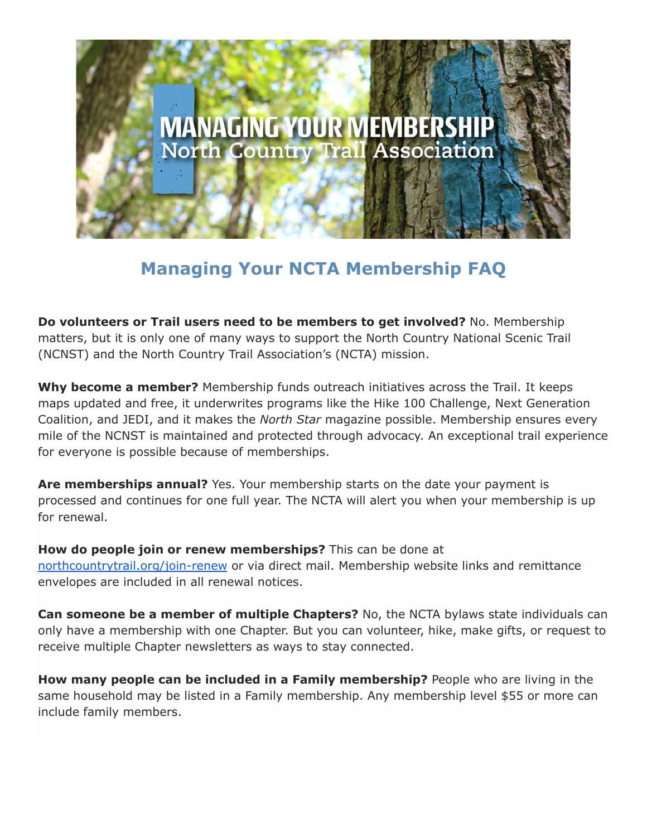

## **Managing Your NCTA Membership FAQ**

**Do volunteers or Trail users need to be members to get involved?** No. Membership matters, but it is only one of many ways to support the North Country National Scenic Trail (NCNST) and the North Country Trail Association's (NCTA) mission.

**Why become a member?** Membership funds outreach initiatives across the Trail. It keeps maps updated and free, it underwrites programs like the Hike 100 Challenge, Next Generation Coalition, and JEDI, and it makes the *North Star* magazine possible. Membership ensures every mile of the NCNST is maintained and protected through advocacy. An exceptional trail experience for everyone is possible because of memberships.

**Are memberships annual?** Yes. Your membership starts on the date your payment is processed and continues for one full year. The NCTA will alert you when your membership is up for renewal.

**How do people join or renew memberships?** This can be done at [northcountrytrail.org/join-renew](https://northcountrytrail.org/join-renew/) or via direct mail. Membership website links and remittance envelopes are included in all renewal notices.

**Can someone be a member of multiple Chapters?** No, the NCTA bylaws state individuals can only have a membership with one Chapter. But you can volunteer, hike, make gifts, or request to receive multiple Chapter newsletters as ways to stay connected.

**How many people can be included in a Family membership?** People who are living in the same household may be listed in a Family membership. Any membership level \$55 or more can include family members.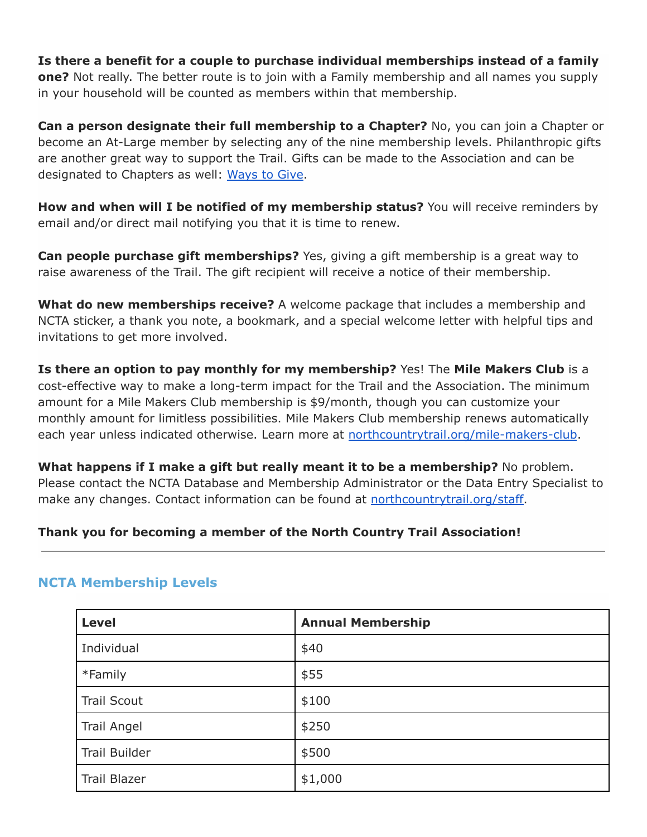**Is there a benefit for a couple to purchase individual memberships instead of a family one?** Not really. The better route is to join with a Family membership and all names you supply in your household will be counted as members within that membership.

**Can a person designate their full membership to a Chapter?** No, you can join a Chapter or become an At-Large member by selecting any of the nine membership levels. Philanthropic gifts are another great way to support the Trail. Gifts can be made to the Association and can be designated to Chapters as well: [Ways to Give](https://northcountrytrail.org/giving-membership/ways-to-give/).

**How and when will I be notified of my membership status?** You will receive reminders by email and/or direct mail notifying you that it is time to renew.

**Can people purchase gift memberships?** Yes, giving a gift membership is a great way to raise awareness of the Trail. The gift recipient will receive a notice of their membership.

**What do new memberships receive?** A welcome package that includes a membership and NCTA sticker, a thank you note, a bookmark, and a special welcome letter with helpful tips and invitations to get more involved.

**Is there an option to pay monthly for my membership?** Yes! The **Mile Makers Club** is a cost-effective way to make a long-term impact for the Trail and the Association. The minimum amount for a Mile Makers Club membership is \$9/month, though you can customize your monthly amount for limitless possibilities. Mile Makers Club membership renews automatically each year unless indicated otherwise. Learn more at [northcountrytrail.org/mile-makers-club](https://northcountrytrail.org/mile-makers-club/).

**What happens if I make a gift but really meant it to be a membership?** No problem. Please contact the NCTA Database and Membership Administrator or the Data Entry Specialist to make any changes. Contact information can be found at [northcountrytrail.org/staff.](https://northcountrytrail.org/staff/)

## **Thank you for becoming a member of the North Country Trail Association!**

## **NCTA Membership Levels**

| <b>Level</b>         | <b>Annual Membership</b> |
|----------------------|--------------------------|
| Individual           | \$40                     |
| *Family              | \$55                     |
| <b>Trail Scout</b>   | \$100                    |
| <b>Trail Angel</b>   | \$250                    |
| <b>Trail Builder</b> | \$500                    |
| <b>Trail Blazer</b>  | \$1,000                  |